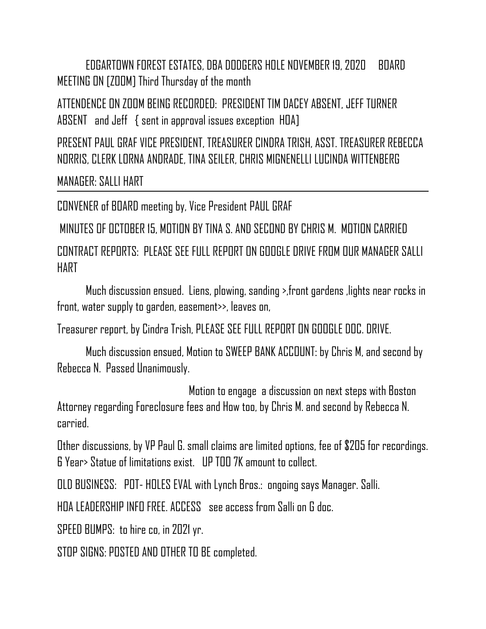EDGARTOWN FOREST ESTATES, DBA DODGERS HOLE NOVEMBER 19, 2020 BOARD MEETING ON [ZOOM] Third Thursday of the month

ATTENDENCE ON ZOOM BEING RECORDED: PRESIDENT TIM DACEY ABSENT, JEFF TURNER ABSENT and Jeff { sent in approval issues exception HOA]

PRESENT PAUL GRAF VICE PRESIDENT, TREASURER CINDRA TRISH, ASST. TREASURER REBECCA NORRIS, CLERK LORNA ANDRADE, TINA SEILER, CHRIS MIGNENELLI LUCINDA WITTENBERG

MANAGER: SALLI HART

CONVENER of BOARD meeting by, Vice President PAUL GRAF

MINUTES OF OCTOBER 15, MOTION BY TINA S. AND SECOND BY CHRIS M. MOTION CARRIED

CONTRACT REPORTS: PLEASE SEE FULL REPORT ON GOOGLE DRIVE FROM OUR MANAGER SALLI HART

Much discussion ensued. Liens, plowing, sanding >,front gardens ,lights near rocks in front, water supply to garden, easement>>, leaves on,

Treasurer report, by Cindra Trish, PLEASE SEE FULL REPORT ON GOOGLE DOC. DRIVE.

Much discussion ensued, Motion to SWEEP BANK ACCOUNT: by Chris M, and second by Rebecca N. Passed Unanimously.

 Motion to engage a discussion on next steps with Boston Attorney regarding Foreclosure fees and How too, by Chris M. and second by Rebecca N. carried.

Other discussions, by VP Paul G. small claims are limited options, fee of \$205 for recordings. 6 Year> Statue of limitations exist. UP TOO 7K amount to collect.

OLD BUSINESS: POT- HOLES EVAL with Lynch Bros.: ongoing says Manager. Salli.

HOA LEADERSHIP INFO FREE. ACCESS see access from Salli on G doc.

SPEED BUMPS: to hire co, in 2021 yr.

STOP SIGNS: POSTED AND OTHER TO BE completed.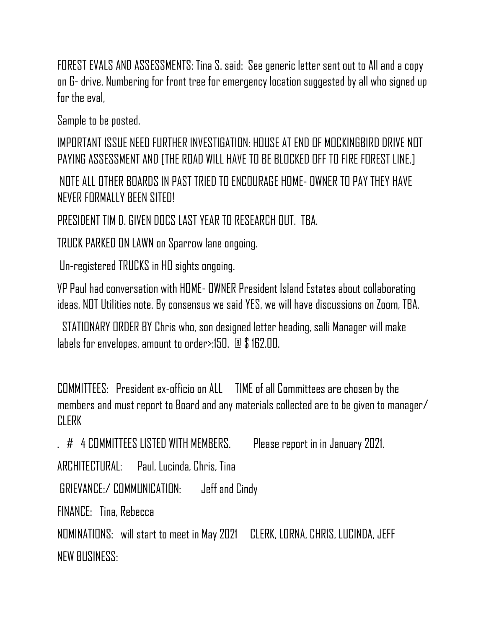FOREST EVALS AND ASSESSMENTS: Tina S. said: See generic letter sent out to All and a copy on G- drive. Numbering for front tree for emergency location suggested by all who signed up for the eval.

Sample to be posted.

IMPORTANT ISSUE NEED FURTHER INVESTIGATION: HOUSE AT END OF MOCKINGBIRD DRIVE NOT PAYING ASSESSMENT AND [THE ROAD WILL HAVE TO BE BLOCKED OFF TO FIRE FOREST LINE.]

NOTE ALL OTHER BOARDS IN PAST TRIED TO ENCOURAGE HOME- OWNER TO PAY THEY HAVE NEVER FORMALLY BEEN SITED!

PRESIDENT TIM D. GIVEN DOCS LAST YEAR TO RESEARCH OUT. TBA.

TRUCK PARKED ON LAWN on Sparrow lane ongoing.

Un-registered TRUCKS in HO sights ongoing.

VP Paul had conversation with HOME- OWNER President Island Estates about collaborating ideas, NOT Utilities note. By consensus we said YES, we will have discussions on Zoom, TBA.

 STATIONARY ORDER BY Chris who, son designed letter heading, salli Manager will make labels for envelopes, amount to order>:150. @ \$ 162.00.

COMMITTEES: President ex-officio on ALL TIME of all Committees are chosen by the members and must report to Board and any materials collected are to be given to manager/ **CLERK** 

. # 4 COMMITTEES LISTED WITH MEMBERS. Please report in in January 2021.

ARCHITECTURAL: Paul, Lucinda, Chris, Tina

GRIEVANCE:/ COMMUNICATION: Jeff and Cindy

FINANCE: Tina, Rebecca

NOMINATIONS: will start to meet in May 2021 CLERK, LORNA, CHRIS, LUCINDA, JEFF NEW BUSINESS: